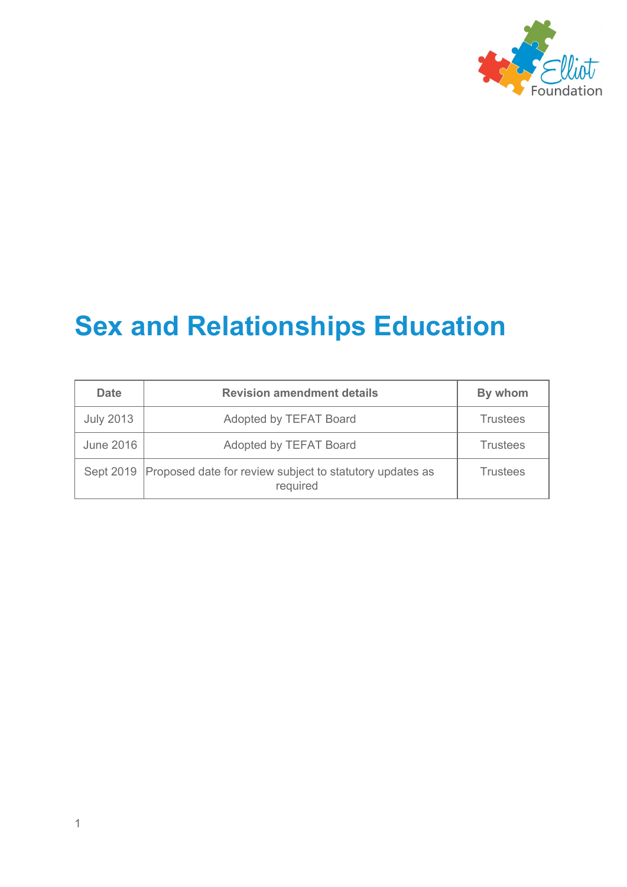

# **Sex and Relationships Education**

| <b>Date</b>      | <b>Revision amendment details</b>                                                | By whom         |
|------------------|----------------------------------------------------------------------------------|-----------------|
| <b>July 2013</b> | Adopted by TEFAT Board                                                           | <b>Trustees</b> |
| June 2016        | Adopted by TEFAT Board                                                           | <b>Trustees</b> |
|                  | Sept 2019   Proposed date for review subject to statutory updates as<br>required | <b>Trustees</b> |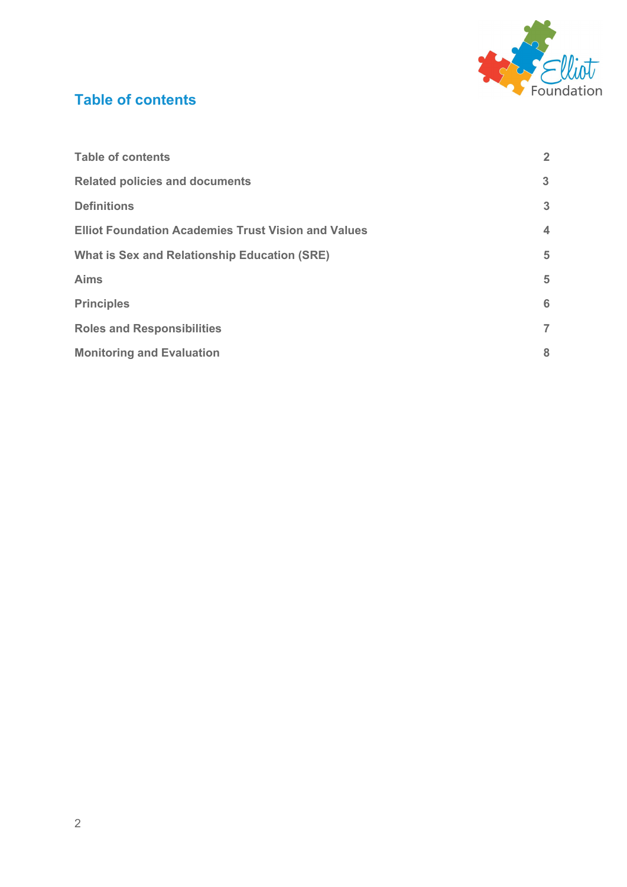

# <span id="page-1-0"></span>**Table of contents**

| <b>Table of contents</b>                                   | $\overline{2}$          |
|------------------------------------------------------------|-------------------------|
| <b>Related policies and documents</b>                      | 3                       |
| <b>Definitions</b>                                         | 3                       |
| <b>Elliot Foundation Academies Trust Vision and Values</b> | $\overline{\mathbf{4}}$ |
| <b>What is Sex and Relationship Education (SRE)</b>        | 5                       |
| <b>Aims</b>                                                | 5                       |
| <b>Principles</b>                                          | 6                       |
| <b>Roles and Responsibilities</b>                          | 7                       |
| <b>Monitoring and Evaluation</b>                           | 8                       |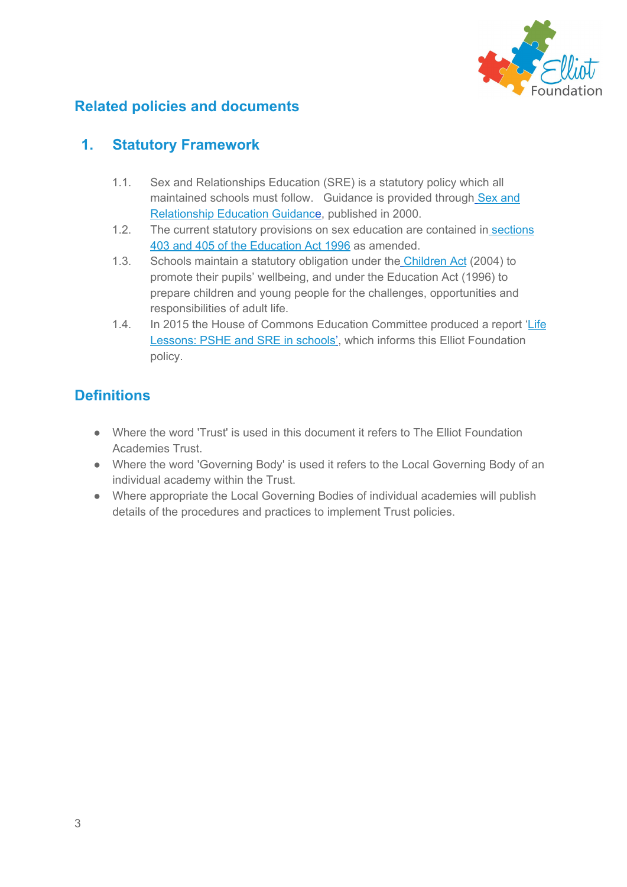

## <span id="page-2-0"></span>**Related policies and documents**

## **1. Statutory Framework**

- 1.1. Sex and Relationships Education (SRE) is a statutory policy which all maintained sc[h](https://www.gov.uk/government/uploads/system/uploads/attachment_data/file/283599/sex_and_relationship_education_guidance.pdf)ools must follow. Guidance is provided through [Sex](https://www.gov.uk/government/uploads/system/uploads/attachment_data/file/283599/sex_and_relationship_education_guidance.pdf) and [Relationship](https://www.gov.uk/government/uploads/system/uploads/attachment_data/file/283599/sex_and_relationship_education_guidance.pdf) Education Guidanc[e,](https://www.gov.uk/government/uploads/system/uploads/attachment_data/file/283599/sex_and_relationship_education_guidance.pdf) published in 2000.
- 1.2. The current statutory provisions on sex education are contained in [sections](http://www.legislation.gov.uk/ukpga/1996/56/part/V/chapter/IV/crossheading/sex-education) 403 and 405 of the [Education](http://www.legislation.gov.uk/ukpga/1996/56/part/V/chapter/IV/crossheading/sex-education) Act 1996 as amended.
- 1.3. Schools maintain a statutory obligation under the [Children](http://www.legislation.gov.uk/ukpga/2004/31/contents) Act (2004) to promote their pupils' wellbeing, and under the Education Act (1996) to prepare children and young people for the challenges, opportunities and responsibilities of adult life.
- 1.4. In 2015 the House of Commons Education Committee produced a report '[Life](http://www.publications.parliament.uk/pa/cm201415/cmselect/cmeduc/145/145.pdf) [Lessons:](http://www.publications.parliament.uk/pa/cm201415/cmselect/cmeduc/145/145.pdf) PSHE and SRE in school[s'](http://www.publications.parliament.uk/pa/cm201415/cmselect/cmeduc/145/145.pdf), which informs this Elliot Foundation policy.

# <span id="page-2-1"></span>**Definitions**

- Where the word 'Trust' is used in this document it refers to The Elliot Foundation Academies Trust.
- Where the word 'Governing Body' is used it refers to the Local Governing Body of an individual academy within the Trust.
- Where appropriate the Local Governing Bodies of individual academies will publish details of the procedures and practices to implement Trust policies.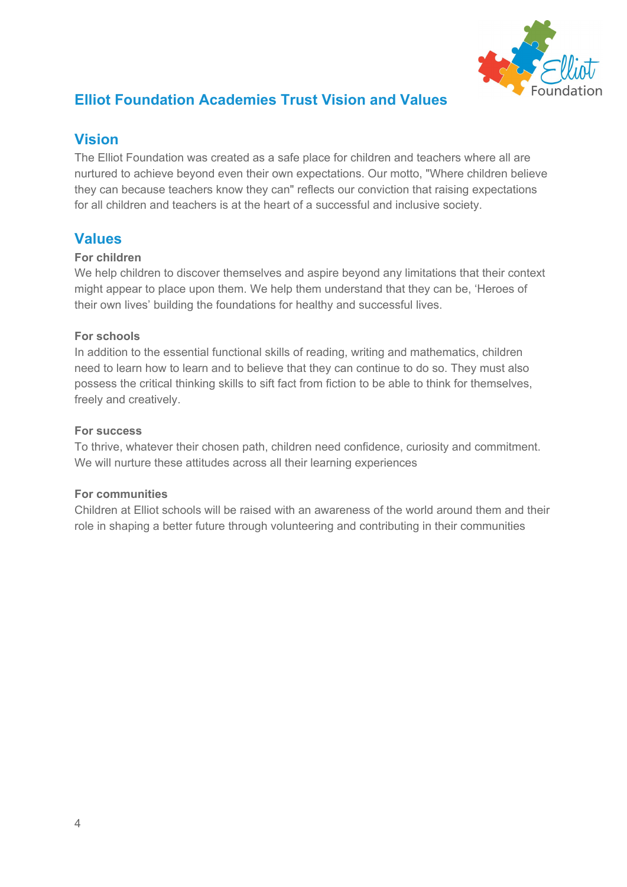

# <span id="page-3-0"></span>**Elliot Foundation Academies Trust Vision and Values**

## **Vision**

The Elliot Foundation was created as a safe place for children and teachers where all are nurtured to achieve beyond even their own expectations. Our motto, "Where children believe they can because teachers know they can" reflects our conviction that raising expectations for all children and teachers is at the heart of a successful and inclusive society.

## **Values**

#### **For children**

We help children to discover themselves and aspire beyond any limitations that their context might appear to place upon them. We help them understand that they can be, 'Heroes of their own lives' building the foundations for healthy and successful lives.

#### **For schools**

In addition to the essential functional skills of reading, writing and mathematics, children need to learn how to learn and to believe that they can continue to do so. They must also possess the critical thinking skills to sift fact from fiction to be able to think for themselves, freely and creatively.

#### **For success**

To thrive, whatever their chosen path, children need confidence, curiosity and commitment. We will nurture these attitudes across all their learning experiences

#### **For communities**

Children at Elliot schools will be raised with an awareness of the world around them and their role in shaping a better future through volunteering and contributing in their communities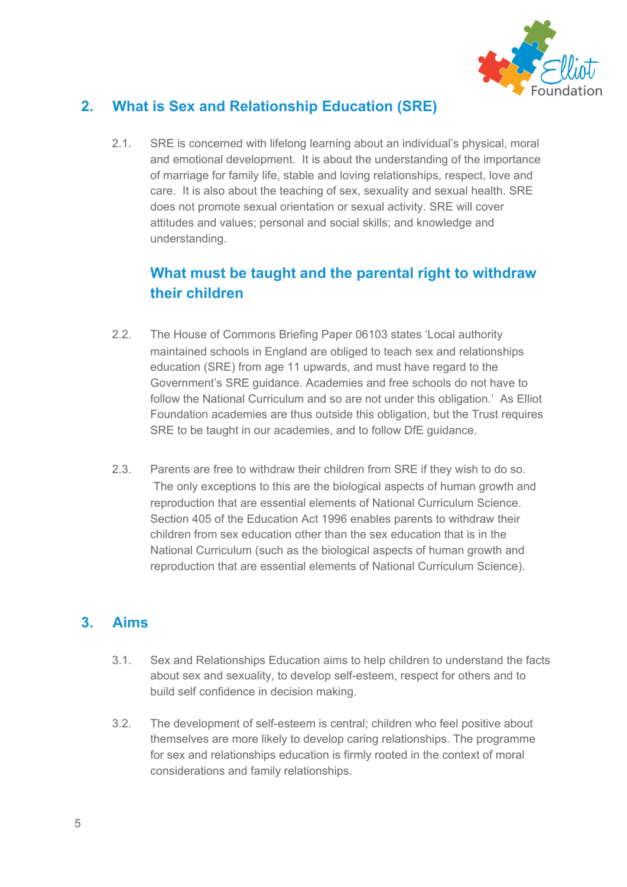

# **2. What is Sex and Relationship Education (SRE)**

2.1. SRE is concerned with lifelong learning about an individual's physical, moral and emotional development. It is about the understanding of the importance of marriage for family life, stable and loving relationships, respect, love and care. It is also about the teaching of sex, sexuality and sexual health. SRE does not promote sexual orientation or sexual activity. SRE will cover attitudes and values; personal and social skills; and knowledge and understanding.

# **What must be taught and the parental right to withdraw their children**

- 2.2. The House of Commons Briefing Paper 06103 states 'Local authority maintained schools in England are obliged to teach sex and relationships education (SRE) from age 11 upwards, and must have regard to the Government's SRE guidance. Academies and free schools do not have to follow the National Curriculum and so are not under this obligation.' As Elliot Foundation academies are thus outside this obligation, but the Trust requires SRE to be taught in our academies, and to follow DfE guidance.
- 2.3. Parents are free to withdraw their children from SRE if they wish to do so. The only exceptions to this are the biological aspects of human growth and reproduction that are essential elements of National Curriculum Science. Section 405 of the Education Act 1996 enables parents to withdraw their children from sex education other than the sex education that is in the National Curriculum (such as the biological aspects of human growth and reproduction that are essential elements of National Curriculum Science).

## **3. Aims**

- 3.1. Sex and Relationships Education aims to help children to understand the facts about sex and sexuality, to develop self-esteem, respect for others and to build self confidence in decision making.
- 3.2. The development of self-esteem is central; children who feel positive about themselves are more likely to develop caring relationships. The programme for sex and relationships education is firmly rooted in the context of moral considerations and family relationships.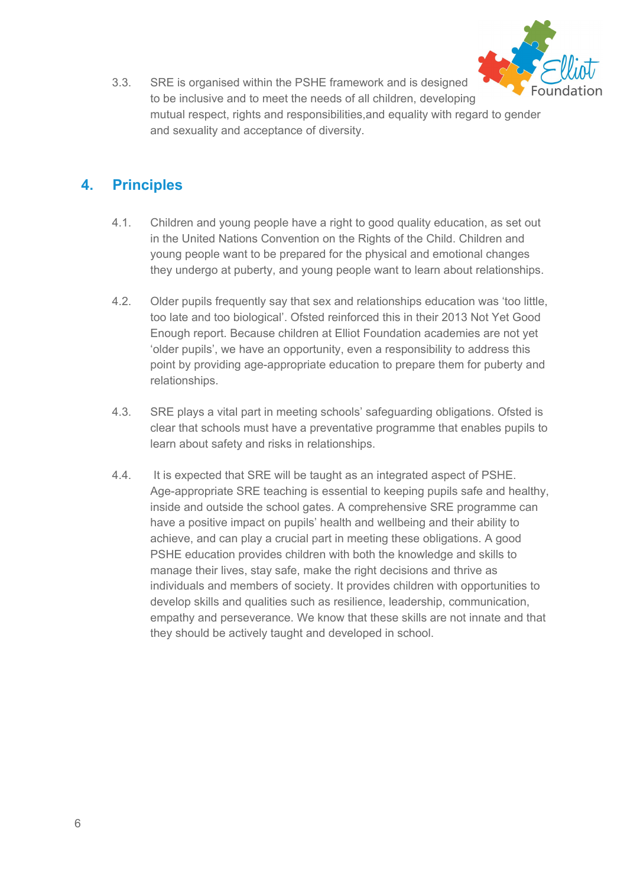

3.3. SRE is organised within the PSHE framework and is designed to be inclusive and to meet the needs of all children, developing mutual respect, rights and responsibilities,and equality with regard to gender and sexuality and acceptance of diversity.

## **4. Principles**

- 4.1. Children and young people have a right to good quality education, as set out in the United Nations Convention on the Rights of the Child. Children and young people want to be prepared for the physical and emotional changes they undergo at puberty, and young people want to learn about relationships.
- 4.2. Older pupils frequently say that sex and relationships education was 'too little, too late and too biological'. Ofsted reinforced this in their 2013 Not Yet Good Enough report. Because children at Elliot Foundation academies are not yet 'older pupils', we have an opportunity, even a responsibility to address this point by providing age-appropriate education to prepare them for puberty and relationships.
- 4.3. SRE plays a vital part in meeting schools' safeguarding obligations. Ofsted is clear that schools must have a preventative programme that enables pupils to learn about safety and risks in relationships.
- 4.4. It is expected that SRE will be taught as an integrated aspect of PSHE. Age-appropriate SRE teaching is essential to keeping pupils safe and healthy, inside and outside the school gates. A comprehensive SRE programme can have a positive impact on pupils' health and wellbeing and their ability to achieve, and can play a crucial part in meeting these obligations. A good PSHE education provides children with both the knowledge and skills to manage their lives, stay safe, make the right decisions and thrive as individuals and members of society. It provides children with opportunities to develop skills and qualities such as resilience, leadership, communication, empathy and perseverance. We know that these skills are not innate and that they should be actively taught and developed in school.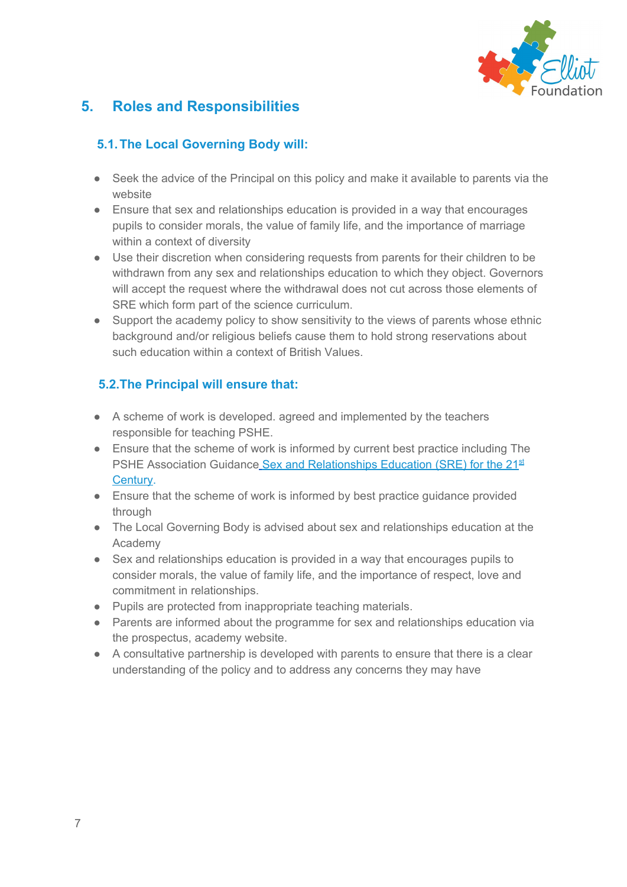

# **5. Roles and Responsibilities**

### **5.1.The Local Governing Body will:**

- Seek the advice of the Principal on this policy and make it available to parents via the website
- Ensure that sex and relationships education is provided in a way that encourages pupils to consider morals, the value of family life, and the importance of marriage within a context of diversity
- Use their discretion when considering requests from parents for their children to be withdrawn from any sex and relationships education to which they object. Governors will accept the request where the withdrawal does not cut across those elements of SRE which form part of the science curriculum.
- Support the academy policy to show sensitivity to the views of parents whose ethnic background and/or religious beliefs cause them to hold strong reservations about such education within a context of British Values.

#### **5.2.The Principal will ensure that:**

- A scheme of work is developed. agreed and implemented by the teachers responsible for teaching PSHE.
- Ensure that the scheme of work is informed by current best practice including The PSHE Association Guidanc[e](http://www.pshe-association.org.uk/uploads/media/17/7910.pdf) Sex and [Relationships](http://www.pshe-association.org.uk/uploads/media/17/7910.pdf) Education (SRE) for the 21<sup>[st](http://www.pshe-association.org.uk/uploads/media/17/7910.pdf)</sup> [Century.](http://www.pshe-association.org.uk/uploads/media/17/7910.pdf)
- Ensure that the scheme of work is informed by best practice guidance provided through
- The Local Governing Body is advised about sex and relationships education at the Academy
- Sex and relationships education is provided in a way that encourages pupils to consider morals, the value of family life, and the importance of respect, love and commitment in relationships.
- Pupils are protected from inappropriate teaching materials.
- Parents are informed about the programme for sex and relationships education via the prospectus, academy website.
- A consultative partnership is developed with parents to ensure that there is a clear understanding of the policy and to address any concerns they may have